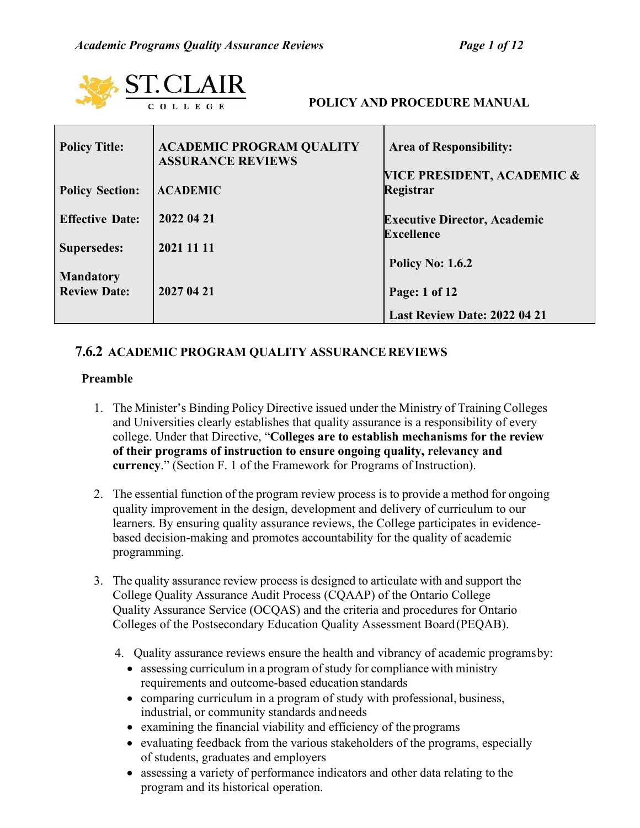| <b>ST.CLAIR</b><br><b>POLICY AND PROCEDURE MANUAL</b><br>COLLEGE |                                                             |                                                          |  |  |
|------------------------------------------------------------------|-------------------------------------------------------------|----------------------------------------------------------|--|--|
| <b>Policy Title:</b>                                             | <b>ACADEMIC PROGRAM QUALITY</b><br><b>ASSURANCE REVIEWS</b> | <b>Area of Responsibility:</b>                           |  |  |
| <b>Policy Section:</b>                                           | <b>ACADEMIC</b>                                             | VICE PRESIDENT, ACADEMIC &<br>Registrar                  |  |  |
| <b>Effective Date:</b>                                           | 2022 04 21                                                  | <b>Executive Director, Academic</b><br><b>Excellence</b> |  |  |
| <b>Supersedes:</b>                                               | 2021 11 11                                                  | <b>Policy No: 1.6.2</b>                                  |  |  |
| <b>Mandatory</b><br><b>Review Date:</b>                          |                                                             |                                                          |  |  |
|                                                                  | 2027 04 21                                                  | Page: 1 of 12<br>Last Review Date: 2022 04 21            |  |  |

# **7.6.2 ACADEMIC PROGRAM QUALITY ASSURANCE REVIEWS**

## **Preamble**

- 1. The Minister's Binding Policy Directive issued under the Ministry of Training Colleges and Universities clearly establishes that quality assurance is a responsibility of every college. Under that Directive, "**Colleges are to establish mechanisms for the review of their programs of instruction to ensure ongoing quality, relevancy and currency**." (Section F. 1 of the Framework for Programs of Instruction).
- 2. The essential function of the program review process is to provide a method for ongoing quality improvement in the design, development and delivery of curriculum to our learners. By ensuring quality assurance reviews, the College participates in evidencebased decision-making and promotes accountability for the quality of academic programming.
- 3. The quality assurance review process is designed to articulate with and support the College Quality Assurance Audit Process (CQAAP) of the Ontario College Quality Assurance Service (OCQAS) and the criteria and procedures for Ontario Colleges of the Postsecondary Education Quality Assessment Board(PEQAB).
	- 4. Quality assurance reviews ensure the health and vibrancy of academic programsby:
		- $\bullet$  assessing curriculum in a program of study for compliance with ministry requirements and outcome-based education standards
		- comparing curriculum in a program of study with professional, business, industrial, or community standards andneeds
		- examining the financial viability and efficiency of the programs
		- evaluating feedback from the various stakeholders of the programs, especially of students, graduates and employers
		- assessing a variety of performance indicators and other data relating to the program and its historical operation.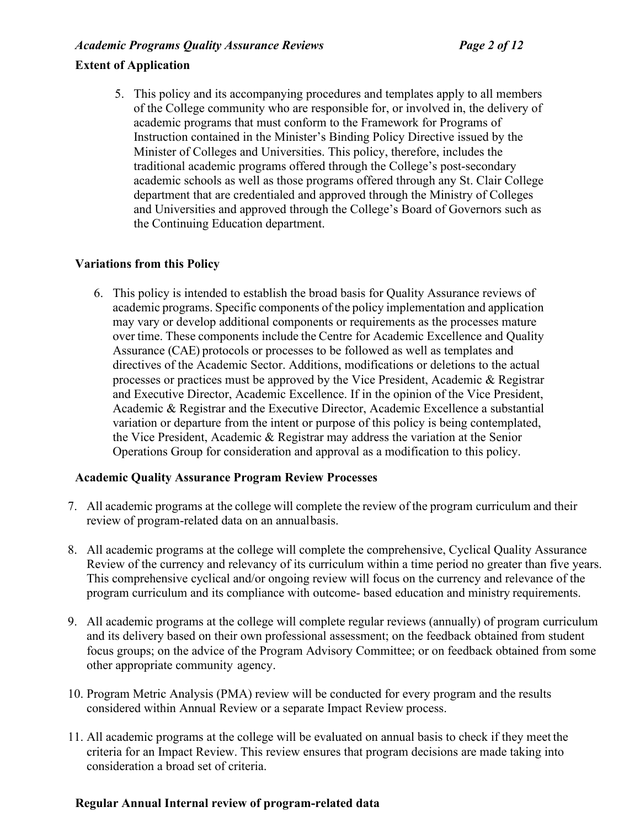# *Academic Programs Quality Assurance Reviews Page 2 of 12*

# **Extent of Application**

5. This policy and its accompanying procedures and templates apply to all members of the College community who are responsible for, or involved in, the delivery of academic programs that must conform to the Framework for Programs of Instruction contained in the Minister's Binding Policy Directive issued by the Minister of Colleges and Universities. This policy, therefore, includes the traditional academic programs offered through the College's post-secondary academic schools as well as those programs offered through any St. Clair College department that are credentialed and approved through the Ministry of Colleges and Universities and approved through the College's Board of Governors such as the Continuing Education department.

# **Variations from this Policy**

6. This policy is intended to establish the broad basis for Quality Assurance reviews of academic programs. Specific components of the policy implementation and application may vary or develop additional components or requirements as the processes mature over time. These components include the Centre for Academic Excellence and Quality Assurance (CAE) protocols or processes to be followed as well as templates and directives of the Academic Sector. Additions, modifications or deletions to the actual processes or practices must be approved by the Vice President, Academic & Registrar and Executive Director, Academic Excellence. If in the opinion of the Vice President, Academic & Registrar and the Executive Director, Academic Excellence a substantial variation or departure from the intent or purpose of this policy is being contemplated, the Vice President, Academic & Registrar may address the variation at the Senior Operations Group for consideration and approval as a modification to this policy.

## **Academic Quality Assurance Program Review Processes**

- 7. All academic programs at the college will complete the review of the program curriculum and their review of program-related data on an annualbasis.
- 8. All academic programs at the college will complete the comprehensive, Cyclical Quality Assurance Review of the currency and relevancy of its curriculum within a time period no greater than five years. This comprehensive cyclical and/or ongoing review will focus on the currency and relevance of the program curriculum and its compliance with outcome- based education and ministry requirements.
- 9. All academic programs at the college will complete regular reviews (annually) of program curriculum and its delivery based on their own professional assessment; on the feedback obtained from student focus groups; on the advice of the Program Advisory Committee; or on feedback obtained from some other appropriate community agency.
- 10. Program Metric Analysis (PMA) review will be conducted for every program and the results considered within Annual Review or a separate Impact Review process.
- 11. All academic programs at the college will be evaluated on annual basis to check if they meet the criteria for an Impact Review. This review ensures that program decisions are made taking into consideration a broad set of criteria.

## **Regular Annual Internal review of program-related data**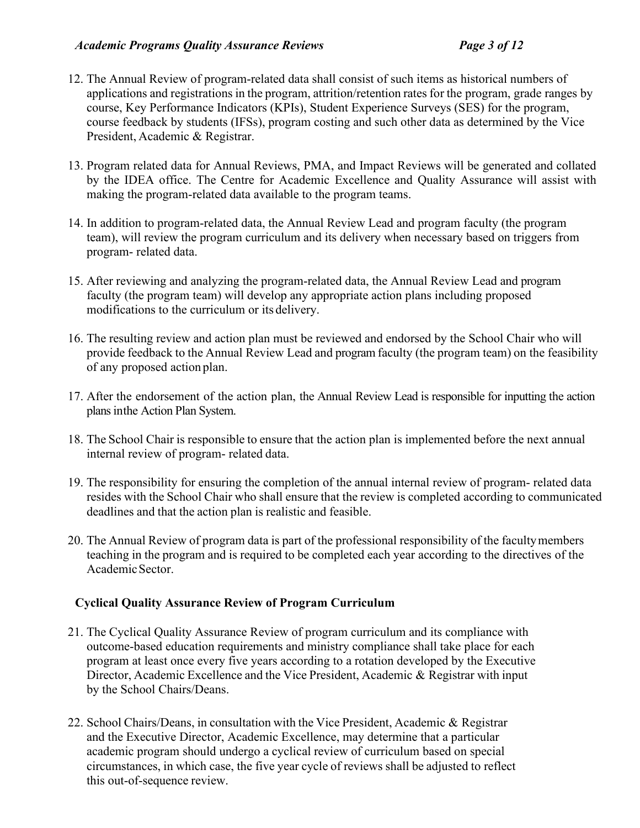# *Academic Programs Quality Assurance Reviews Page 3 of 12*

- 12. The Annual Review of program-related data shall consist of such items as historical numbers of applications and registrations in the program, attrition/retention rates for the program, grade ranges by course, Key Performance Indicators (KPIs), Student Experience Surveys (SES) for the program, course feedback by students (IFSs), program costing and such other data as determined by the Vice President, Academic & Registrar.
- 13. Program related data for Annual Reviews, PMA, and Impact Reviews will be generated and collated by the IDEA office. The Centre for Academic Excellence and Quality Assurance will assist with making the program-related data available to the program teams.
- 14. In addition to program-related data, the Annual Review Lead and program faculty (the program team), will review the program curriculum and its delivery when necessary based on triggers from program- related data.
- 15. After reviewing and analyzing the program-related data, the Annual Review Lead and program faculty (the program team) will develop any appropriate action plans including proposed modifications to the curriculum or its delivery.
- 16. The resulting review and action plan must be reviewed and endorsed by the School Chair who will provide feedback to the Annual Review Lead and program faculty (the program team) on the feasibility of any proposed action plan.
- 17. After the endorsement of the action plan, the Annual Review Lead is responsible for inputting the action plans inthe Action Plan System.
- 18. The School Chair is responsible to ensure that the action plan is implemented before the next annual internal review of program- related data.
- 19. The responsibility for ensuring the completion of the annual internal review of program- related data resides with the School Chair who shall ensure that the review is completed according to communicated deadlines and that the action plan is realistic and feasible.
- 20. The Annual Review of program data is part of the professional responsibility of the facultymembers teaching in the program and is required to be completed each year according to the directives of the AcademicSector.

# **Cyclical Quality Assurance Review of Program Curriculum**

- 21. The Cyclical Quality Assurance Review of program curriculum and its compliance with outcome-based education requirements and ministry compliance shall take place for each program at least once every five years according to a rotation developed by the Executive Director, Academic Excellence and the Vice President, Academic & Registrar with input by the School Chairs/Deans.
- 22. School Chairs/Deans, in consultation with the Vice President, Academic & Registrar and the Executive Director, Academic Excellence, may determine that a particular academic program should undergo a cyclical review of curriculum based on special circumstances, in which case, the five year cycle of reviews shall be adjusted to reflect this out-of-sequence review.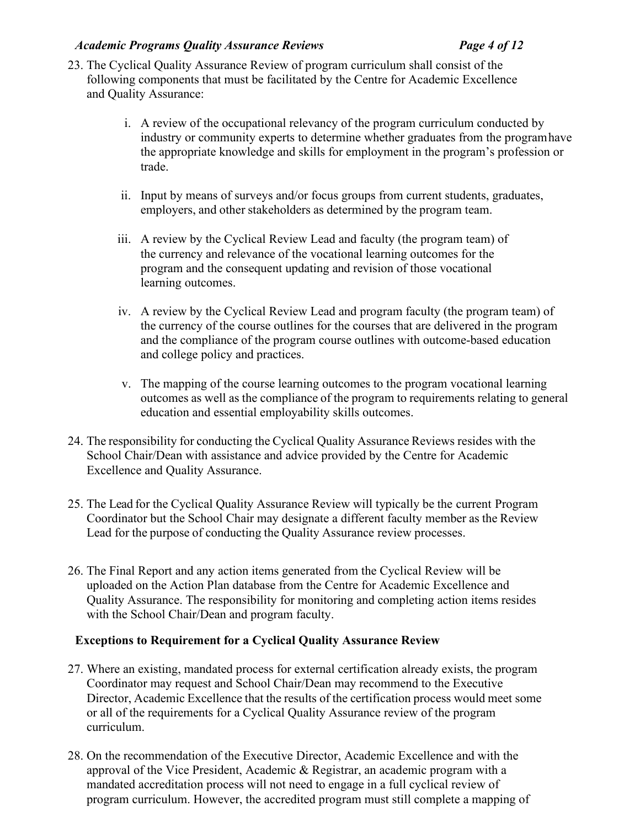# *Academic Programs Quality Assurance Reviews Page 4 of 12*

- 23. The Cyclical Quality Assurance Review of program curriculum shall consist of the following components that must be facilitated by the Centre for Academic Excellence and Quality Assurance:
	- i. A review of the occupational relevancy of the program curriculum conducted by industry or community experts to determine whether graduates from the programhave the appropriate knowledge and skills for employment in the program's profession or trade.
	- ii. Input by means of surveys and/or focus groups from current students, graduates, employers, and other stakeholders as determined by the program team.
	- iii. A review by the Cyclical Review Lead and faculty (the program team) of the currency and relevance of the vocational learning outcomes for the program and the consequent updating and revision of those vocational learning outcomes.
	- iv. A review by the Cyclical Review Lead and program faculty (the program team) of the currency of the course outlines for the courses that are delivered in the program and the compliance of the program course outlines with outcome-based education and college policy and practices.
	- v. The mapping of the course learning outcomes to the program vocational learning outcomes as well as the compliance of the program to requirements relating to general education and essential employability skills outcomes.
- 24. The responsibility for conducting the Cyclical Quality Assurance Reviews resides with the School Chair/Dean with assistance and advice provided by the Centre for Academic Excellence and Quality Assurance.
- 25. The Lead for the Cyclical Quality Assurance Review will typically be the current Program Coordinator but the School Chair may designate a different faculty member as the Review Lead for the purpose of conducting the Quality Assurance review processes.
- 26. The Final Report and any action items generated from the Cyclical Review will be uploaded on the Action Plan database from the Centre for Academic Excellence and Quality Assurance. The responsibility for monitoring and completing action items resides with the School Chair/Dean and program faculty.

# **Exceptions to Requirement for a Cyclical Quality Assurance Review**

- 27. Where an existing, mandated process for external certification already exists, the program Coordinator may request and School Chair/Dean may recommend to the Executive Director, Academic Excellence that the results of the certification process would meet some or all of the requirements for a Cyclical Quality Assurance review of the program curriculum.
- 28. On the recommendation of the Executive Director, Academic Excellence and with the approval of the Vice President, Academic & Registrar, an academic program with a mandated accreditation process will not need to engage in a full cyclical review of program curriculum. However, the accredited program must still complete a mapping of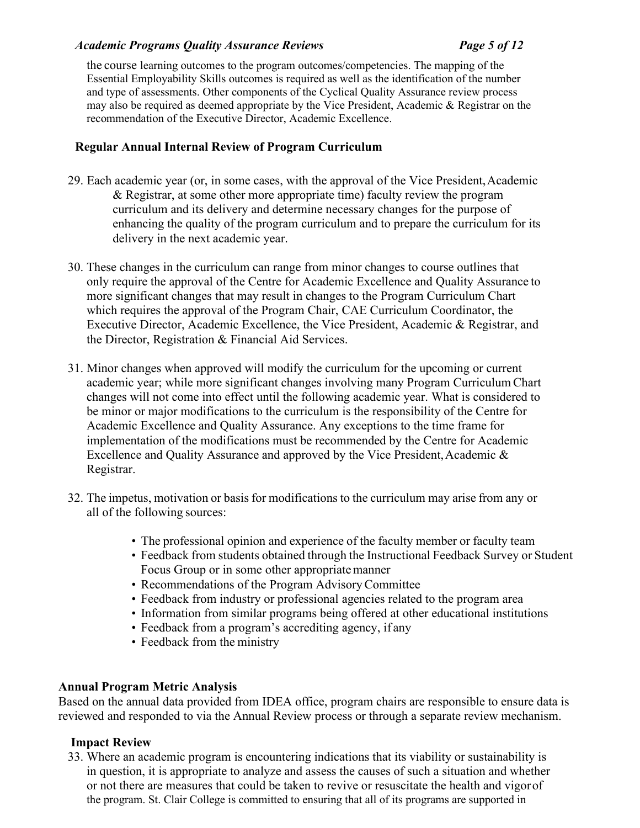# *Academic Programs Quality Assurance Reviews Page 5 of 12*

the course learning outcomes to the program outcomes/competencies. The mapping of the Essential Employability Skills outcomes is required as well as the identification of the number and type of assessments. Other components of the Cyclical Quality Assurance review process may also be required as deemed appropriate by the Vice President, Academic & Registrar on the recommendation of the Executive Director, Academic Excellence.

# **Regular Annual Internal Review of Program Curriculum**

- 29. Each academic year (or, in some cases, with the approval of the Vice President,Academic & Registrar, at some other more appropriate time) faculty review the program curriculum and its delivery and determine necessary changes for the purpose of enhancing the quality of the program curriculum and to prepare the curriculum for its delivery in the next academic year.
- 30. These changes in the curriculum can range from minor changes to course outlines that only require the approval of the Centre for Academic Excellence and Quality Assurance to more significant changes that may result in changes to the Program Curriculum Chart which requires the approval of the Program Chair, CAE Curriculum Coordinator, the Executive Director, Academic Excellence, the Vice President, Academic & Registrar, and the Director, Registration & Financial Aid Services.
- 31. Minor changes when approved will modify the curriculum for the upcoming or current academic year; while more significant changes involving many Program Curriculum Chart changes will not come into effect until the following academic year. What is considered to be minor or major modifications to the curriculum is the responsibility of the Centre for Academic Excellence and Quality Assurance. Any exceptions to the time frame for implementation of the modifications must be recommended by the Centre for Academic Excellence and Quality Assurance and approved by the Vice President, Academic  $\&$ Registrar.
- 32. The impetus, motivation or basis for modifications to the curriculum may arise from any or all of the following sources:
	- The professional opinion and experience of the faculty member or faculty team
	- Feedback from students obtained through the Instructional Feedback Survey or Student Focus Group or in some other appropriatemanner
	- Recommendations of the Program AdvisoryCommittee
	- Feedback from industry or professional agencies related to the program area
	- Information from similar programs being offered at other educational institutions
	- Feedback from a program's accrediting agency, if any
	- Feedback from the ministry

## **Annual Program Metric Analysis**

Based on the annual data provided from IDEA office, program chairs are responsible to ensure data is reviewed and responded to via the Annual Review process or through a separate review mechanism.

# **Impact Review**

33. Where an academic program is encountering indications that its viability or sustainability is in question, it is appropriate to analyze and assess the causes of such a situation and whether or not there are measures that could be taken to revive or resuscitate the health and vigorof the program. St. Clair College is committed to ensuring that all of its programs are supported in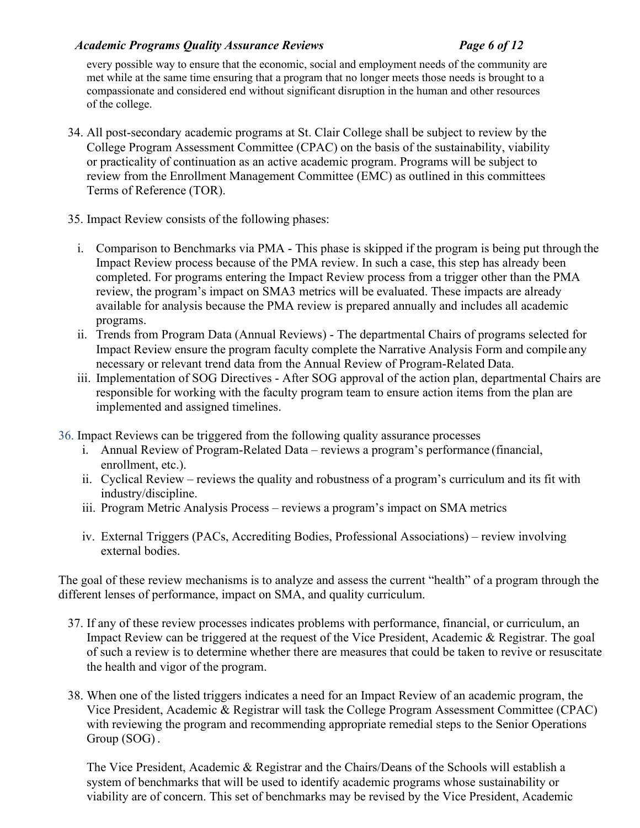# *Academic Programs Quality Assurance Reviews Page 6 of 12*

every possible way to ensure that the economic, social and employment needs of the community are met while at the same time ensuring that a program that no longer meets those needs is brought to a compassionate and considered end without significant disruption in the human and other resources of the college.

- 34. All post-secondary academic programs at St. Clair College shall be subject to review by the College Program Assessment Committee (CPAC) on the basis of the sustainability, viability or practicality of continuation as an active academic program. Programs will be subject to review from the Enrollment Management Committee (EMC) as outlined in this committees Terms of Reference (TOR).
- 35. Impact Review consists of the following phases:
	- i. Comparison to Benchmarks via PMA This phase is skipped if the program is being put through the Impact Review process because of the PMA review. In such a case, this step has already been completed. For programs entering the Impact Review process from a trigger other than the PMA review, the program's impact on SMA3 metrics will be evaluated. These impacts are already available for analysis because the PMA review is prepared annually and includes all academic programs.
	- ii. Trends from Program Data (Annual Reviews) The departmental Chairs of programs selected for Impact Review ensure the program faculty complete the Narrative Analysis Form and compile any necessary or relevant trend data from the Annual Review of Program-Related Data.
	- iii. Implementation of SOG Directives After SOG approval of the action plan, departmental Chairs are responsible for working with the faculty program team to ensure action items from the plan are implemented and assigned timelines.
- 36. Impact Reviews can be triggered from the following quality assurance processes
	- i. Annual Review of Program-Related Data reviews a program's performance (financial, enrollment, etc.).
	- ii. Cyclical Review reviews the quality and robustness of a program's curriculum and its fit with industry/discipline.
	- iii. Program Metric Analysis Process reviews a program's impact on SMA metrics
	- iv. External Triggers (PACs, Accrediting Bodies, Professional Associations) review involving external bodies.

The goal of these review mechanisms is to analyze and assess the current "health" of a program through the different lenses of performance, impact on SMA, and quality curriculum.

- 37. If any of these review processes indicates problems with performance, financial, or curriculum, an Impact Review can be triggered at the request of the Vice President, Academic & Registrar. The goal of such a review is to determine whether there are measures that could be taken to revive or resuscitate the health and vigor of the program.
- 38. When one of the listed triggers indicates a need for an Impact Review of an academic program, the Vice President, Academic & Registrar will task the College Program Assessment Committee (CPAC) with reviewing the program and recommending appropriate remedial steps to the Senior Operations Group (SOG) .

The Vice President, Academic & Registrar and the Chairs/Deans of the Schools will establish a system of benchmarks that will be used to identify academic programs whose sustainability or viability are of concern. This set of benchmarks may be revised by the Vice President, Academic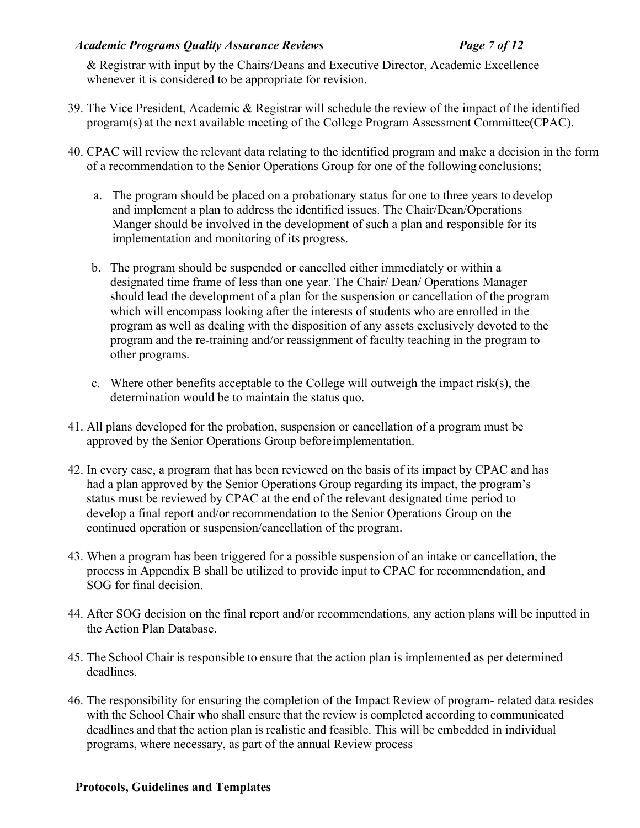# *Academic Programs Quality Assurance Reviews Page 7 of 12*

& Registrar with input by the Chairs/Deans and Executive Director, Academic Excellence whenever it is considered to be appropriate for revision.

- 39. The Vice President, Academic & Registrar will schedule the review of the impact of the identified program(s) at the next available meeting of the College Program Assessment Committee(CPAC).
- 40. CPAC will review the relevant data relating to the identified program and make a decision in the form of a recommendation to the Senior Operations Group for one of the following conclusions;
	- a. The program should be placed on a probationary status for one to three years to develop and implement a plan to address the identified issues. The Chair/Dean/Operations Manger should be involved in the development of such a plan and responsible for its implementation and monitoring of its progress.
	- b. The program should be suspended or cancelled either immediately or within a designated time frame of less than one year. The Chair/ Dean/ Operations Manager should lead the development of a plan for the suspension or cancellation of the program which will encompass looking after the interests of students who are enrolled in the program as well as dealing with the disposition of any assets exclusively devoted to the program and the re-training and/or reassignment of faculty teaching in the program to other programs.
	- c. Where other benefits acceptable to the College will outweigh the impact risk(s), the determination would be to maintain the status quo.
- 41. All plans developed for the probation, suspension or cancellation of a program must be approved by the Senior Operations Group beforeimplementation.
- 42. In every case, a program that has been reviewed on the basis of its impact by CPAC and has had a plan approved by the Senior Operations Group regarding its impact, the program's status must be reviewed by CPAC at the end of the relevant designated time period to develop a final report and/or recommendation to the Senior Operations Group on the continued operation or suspension/cancellation of the program.
- 43. When a program has been triggered for a possible suspension of an intake or cancellation, the process in Appendix B shall be utilized to provide input to CPAC for recommendation, and SOG for final decision.
- 44. After SOG decision on the final report and/or recommendations, any action plans will be inputted in the Action Plan Database.
- 45. The School Chair is responsible to ensure that the action plan is implemented as per determined deadlines.
- 46. The responsibility for ensuring the completion of the Impact Review of program- related data resides with the School Chair who shall ensure that the review is completed according to communicated deadlines and that the action plan is realistic and feasible. This will be embedded in individual programs, where necessary, as part of the annual Review process

## **Protocols, Guidelines and Templates**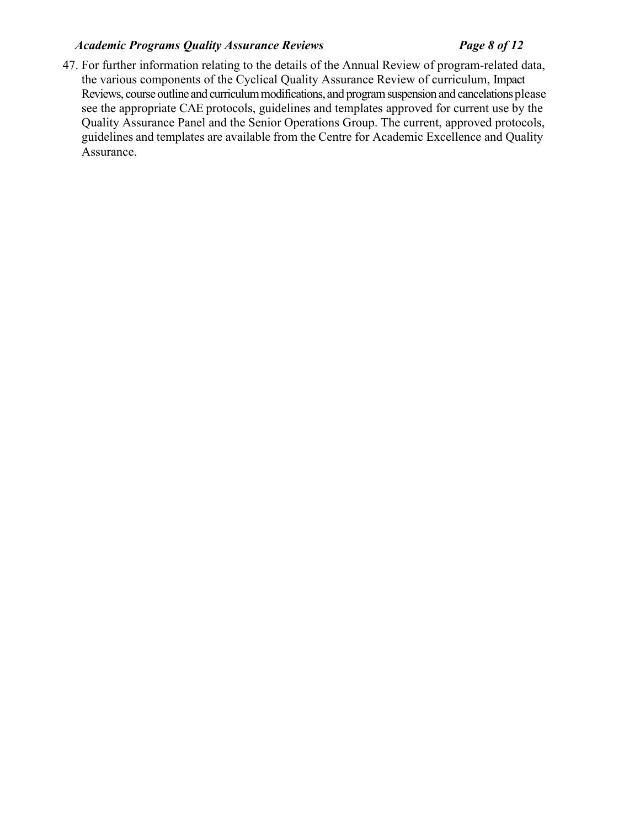# *Academic Programs Quality Assurance Reviews Page 8 of 12*

47. For further information relating to the details of the Annual Review of program-related data, the various components of the Cyclical Quality Assurance Review of curriculum, Impact Reviews, course outline and curriculum modifications, and program suspension and cancelations please see the appropriate CAE protocols, guidelines and templates approved for current use by the Quality Assurance Panel and the Senior Operations Group. The current, approved protocols, guidelines and templates are available from the Centre for Academic Excellence and Quality Assurance.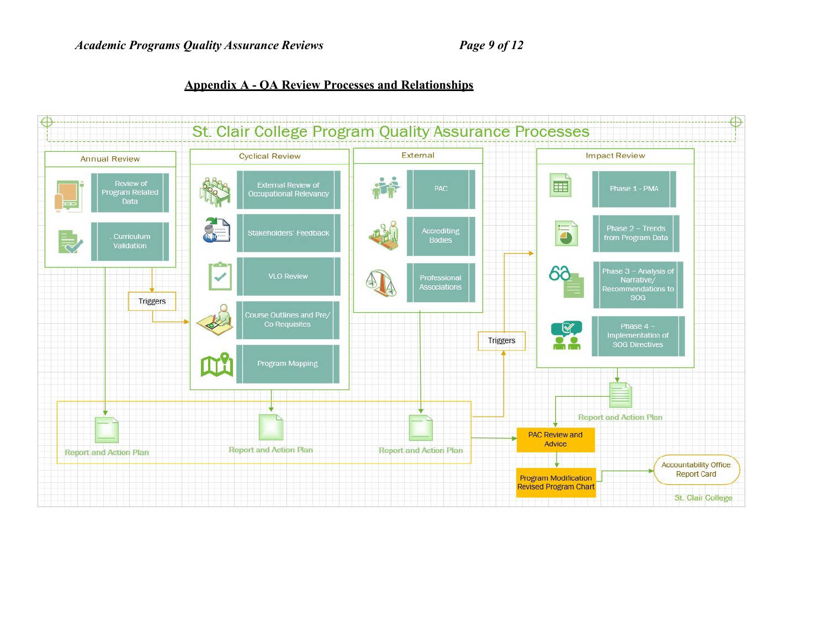**Appendix A - QA Review Processes and Relationships**

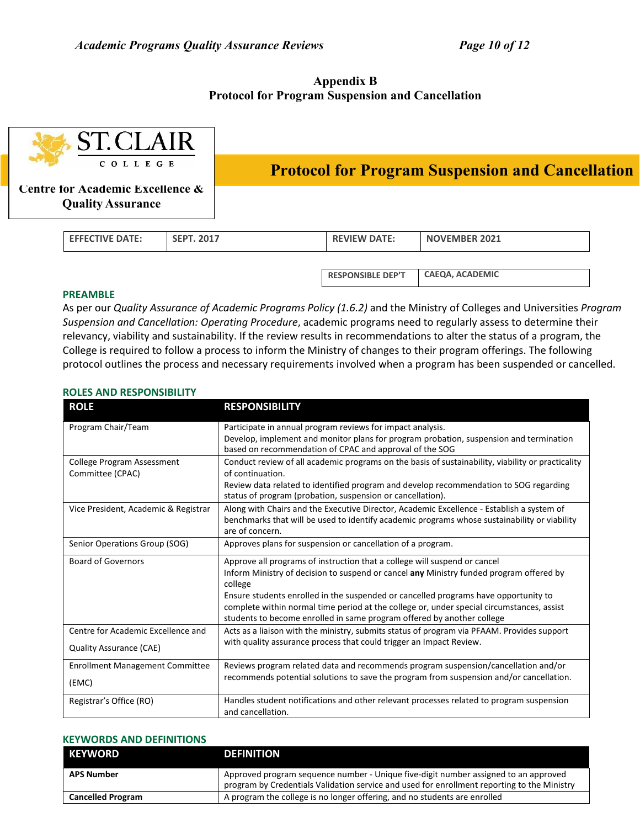### **Appendix B Protocol for Program Suspension and Cancellation**

| <b>ST.CLAIR</b><br>COLLEGE<br>Centre for Academic Excellence &<br><b>Quality Assurance</b> |                        |                   |                                                         |                     |                      |  |
|--------------------------------------------------------------------------------------------|------------------------|-------------------|---------------------------------------------------------|---------------------|----------------------|--|
|                                                                                            |                        |                   | <b>Protocol for Program Suspension and Cancellation</b> |                     |                      |  |
|                                                                                            |                        |                   |                                                         |                     |                      |  |
|                                                                                            | <b>EFFECTIVE DATE:</b> | <b>SEPT. 2017</b> |                                                         | <b>REVIEW DATE:</b> | <b>NOVEMBER 2021</b> |  |

**RESPONSIBLE DEP'T CAEQA, ACADEMIC**

### **PREAMBLE**

As per our *Quality Assurance of Academic Programs Policy (1.6.2)* and the Ministry of Colleges and Universities *Program Suspension and Cancellation: Operating Procedure*, academic programs need to regularly assess to determine their relevancy, viability and sustainability. If the review results in recommendations to alter the status of a program, the College is required to follow a process to inform the Ministry of changes to their program offerings. The following protocol outlines the process and necessary requirements involved when a program has been suspended or cancelled.

### **ROLES AND RESPONSIBILITY**

| <b>ROLE</b>                                                          | <b>RESPONSIBILITY</b>                                                                                                                                                                                                                                                                                                                                                                                                                         |
|----------------------------------------------------------------------|-----------------------------------------------------------------------------------------------------------------------------------------------------------------------------------------------------------------------------------------------------------------------------------------------------------------------------------------------------------------------------------------------------------------------------------------------|
| Program Chair/Team                                                   | Participate in annual program reviews for impact analysis.<br>Develop, implement and monitor plans for program probation, suspension and termination<br>based on recommendation of CPAC and approval of the SOG                                                                                                                                                                                                                               |
| College Program Assessment<br>Committee (CPAC)                       | Conduct review of all academic programs on the basis of sustainability, viability or practicality<br>of continuation.<br>Review data related to identified program and develop recommendation to SOG regarding<br>status of program (probation, suspension or cancellation).                                                                                                                                                                  |
| Vice President, Academic & Registrar                                 | Along with Chairs and the Executive Director, Academic Excellence - Establish a system of<br>benchmarks that will be used to identify academic programs whose sustainability or viability<br>are of concern.                                                                                                                                                                                                                                  |
| Senior Operations Group (SOG)                                        | Approves plans for suspension or cancellation of a program.                                                                                                                                                                                                                                                                                                                                                                                   |
| <b>Board of Governors</b>                                            | Approve all programs of instruction that a college will suspend or cancel<br>Inform Ministry of decision to suspend or cancel any Ministry funded program offered by<br>college<br>Ensure students enrolled in the suspended or cancelled programs have opportunity to<br>complete within normal time period at the college or, under special circumstances, assist<br>students to become enrolled in same program offered by another college |
| Centre for Academic Excellence and<br><b>Quality Assurance (CAE)</b> | Acts as a liaison with the ministry, submits status of program via PFAAM. Provides support<br>with quality assurance process that could trigger an Impact Review.                                                                                                                                                                                                                                                                             |
| <b>Enrollment Management Committee</b><br>(EMC)                      | Reviews program related data and recommends program suspension/cancellation and/or<br>recommends potential solutions to save the program from suspension and/or cancellation.                                                                                                                                                                                                                                                                 |
| Registrar's Office (RO)                                              | Handles student notifications and other relevant processes related to program suspension<br>and cancellation.                                                                                                                                                                                                                                                                                                                                 |

### **KEYWORDS AND DEFINITIONS**

| KEYWORD                  | <b>DEFINITION</b>                                                                                                                                                                  |
|--------------------------|------------------------------------------------------------------------------------------------------------------------------------------------------------------------------------|
| APS Number               | Approved program sequence number - Unique five-digit number assigned to an approved<br>program by Credentials Validation service and used for enrollment reporting to the Ministry |
| <b>Cancelled Program</b> | A program the college is no longer offering, and no students are enrolled                                                                                                          |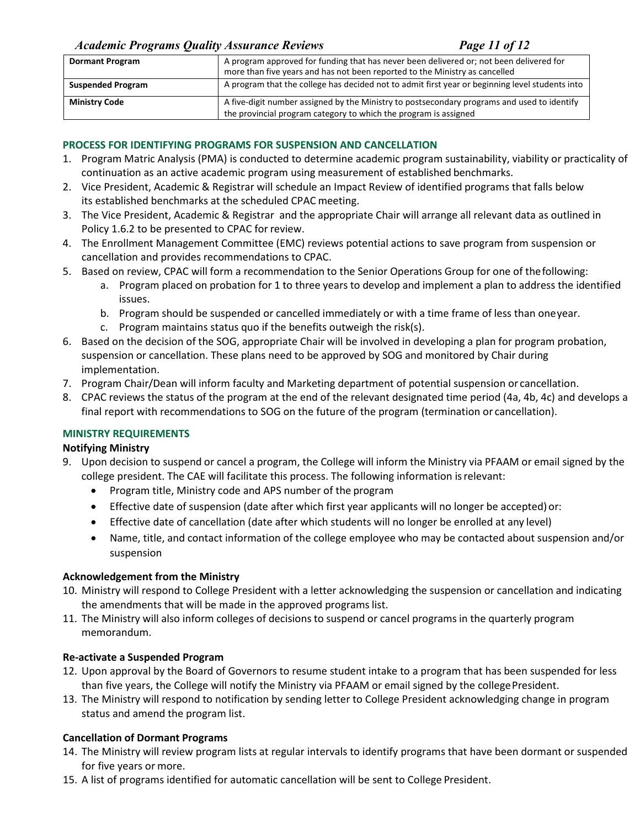## *Academic Programs Quality Assurance Reviews Page 11 of 12*

| <b>Dormant Program</b>   | A program approved for funding that has never been delivered or; not been delivered for<br>more than five years and has not been reported to the Ministry as cancelled |
|--------------------------|------------------------------------------------------------------------------------------------------------------------------------------------------------------------|
| <b>Suspended Program</b> | A program that the college has decided not to admit first year or beginning level students into                                                                        |
| <b>Ministry Code</b>     | A five-digit number assigned by the Ministry to postsecondary programs and used to identify<br>the provincial program category to which the program is assigned        |

### **PROCESS FOR IDENTIFYING PROGRAMS FOR SUSPENSION AND CANCELLATION**

- 1. Program Matric Analysis (PMA) is conducted to determine academic program sustainability, viability or practicality of continuation as an active academic program using measurement of established benchmarks.
- 2. Vice President, Academic & Registrar will schedule an Impact Review of identified programs that falls below its established benchmarks at the scheduled CPAC meeting.
- 3. The Vice President, Academic & Registrar and the appropriate Chair will arrange all relevant data as outlined in Policy 1.6.2 to be presented to CPAC for review.
- 4. The Enrollment Management Committee (EMC) reviews potential actions to save program from suspension or cancellation and provides recommendations to CPAC.
- 5. Based on review, CPAC will form a recommendation to the Senior Operations Group for one of thefollowing:
	- a. Program placed on probation for 1 to three years to develop and implement a plan to address the identified issues.
	- b. Program should be suspended or cancelled immediately or with a time frame of less than oneyear.
	- c. Program maintains status quo if the benefits outweigh the risk(s).
- 6. Based on the decision of the SOG, appropriate Chair will be involved in developing a plan for program probation, suspension or cancellation. These plans need to be approved by SOG and monitored by Chair during implementation.
- 7. Program Chair/Dean will inform faculty and Marketing department of potential suspension or cancellation.
- 8. CPAC reviews the status of the program at the end of the relevant designated time period (4a, 4b, 4c) and develops a final report with recommendations to SOG on the future of the program (termination or cancellation).

## **MINISTRY REQUIREMENTS**

### **Notifying Ministry**

- 9. Upon decision to suspend or cancel a program, the College will inform the Ministry via PFAAM or email signed by the college president. The CAE will facilitate this process. The following information isrelevant:
	- Program title, Ministry code and APS number of the program
	- Effective date of suspension (date after which first year applicants will no longer be accepted) or:
	- Effective date of cancellation (date after which students will no longer be enrolled at any level)
	- Name, title, and contact information of the college employee who may be contacted about suspension and/or suspension

### **Acknowledgement from the Ministry**

- 10. Ministry will respond to College President with a letter acknowledging the suspension or cancellation and indicating the amendments that will be made in the approved programs list.
- 11. The Ministry will also inform colleges of decisions to suspend or cancel programs in the quarterly program memorandum.

### **Re-activate a Suspended Program**

- 12. Upon approval by the Board of Governors to resume student intake to a program that has been suspended for less than five years, the College will notify the Ministry via PFAAM or email signed by the college President.
- 13. The Ministry will respond to notification by sending letter to College President acknowledging change in program status and amend the program list.

## **Cancellation of Dormant Programs**

- 14. The Ministry will review program lists at regular intervals to identify programs that have been dormant or suspended for five years or more.
- 15. A list of programs identified for automatic cancellation will be sent to College President.